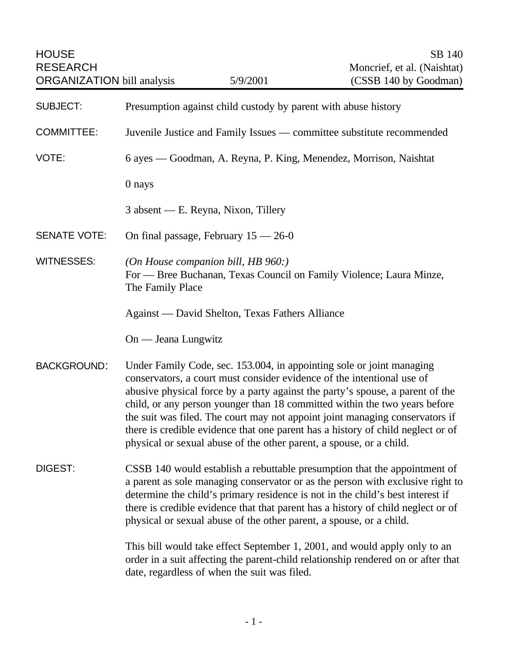| <b>HOUSE</b><br><b>RESEARCH</b><br><b>ORGANIZATION bill analysis</b> |                                                                                                                                                                                                                                                                                                                                                                                                                                                                                                                                                          | 5/9/2001                                                            | SB 140<br>Moncrief, et al. (Naishtat)<br>(CSSB 140 by Goodman)                                                                                                                                                                                                                                                                    |  |
|----------------------------------------------------------------------|----------------------------------------------------------------------------------------------------------------------------------------------------------------------------------------------------------------------------------------------------------------------------------------------------------------------------------------------------------------------------------------------------------------------------------------------------------------------------------------------------------------------------------------------------------|---------------------------------------------------------------------|-----------------------------------------------------------------------------------------------------------------------------------------------------------------------------------------------------------------------------------------------------------------------------------------------------------------------------------|--|
| <b>SUBJECT:</b>                                                      | Presumption against child custody by parent with abuse history                                                                                                                                                                                                                                                                                                                                                                                                                                                                                           |                                                                     |                                                                                                                                                                                                                                                                                                                                   |  |
| <b>COMMITTEE:</b>                                                    | Juvenile Justice and Family Issues — committee substitute recommended                                                                                                                                                                                                                                                                                                                                                                                                                                                                                    |                                                                     |                                                                                                                                                                                                                                                                                                                                   |  |
| VOTE:                                                                | 6 ayes — Goodman, A. Reyna, P. King, Menendez, Morrison, Naishtat                                                                                                                                                                                                                                                                                                                                                                                                                                                                                        |                                                                     |                                                                                                                                                                                                                                                                                                                                   |  |
|                                                                      | 0 nays                                                                                                                                                                                                                                                                                                                                                                                                                                                                                                                                                   |                                                                     |                                                                                                                                                                                                                                                                                                                                   |  |
|                                                                      |                                                                                                                                                                                                                                                                                                                                                                                                                                                                                                                                                          | 3 absent — E. Reyna, Nixon, Tillery                                 |                                                                                                                                                                                                                                                                                                                                   |  |
| <b>SENATE VOTE:</b>                                                  | On final passage, February $15 - 26 - 0$                                                                                                                                                                                                                                                                                                                                                                                                                                                                                                                 |                                                                     |                                                                                                                                                                                                                                                                                                                                   |  |
| <b>WITNESSES:</b>                                                    | The Family Place                                                                                                                                                                                                                                                                                                                                                                                                                                                                                                                                         | (On House companion bill, HB $960$ :)                               | For - Bree Buchanan, Texas Council on Family Violence; Laura Minze,                                                                                                                                                                                                                                                               |  |
|                                                                      | Against — David Shelton, Texas Fathers Alliance                                                                                                                                                                                                                                                                                                                                                                                                                                                                                                          |                                                                     |                                                                                                                                                                                                                                                                                                                                   |  |
|                                                                      | On — Jeana Lungwitz                                                                                                                                                                                                                                                                                                                                                                                                                                                                                                                                      |                                                                     |                                                                                                                                                                                                                                                                                                                                   |  |
| <b>BACKGROUND:</b>                                                   | Under Family Code, sec. 153.004, in appointing sole or joint managing<br>conservators, a court must consider evidence of the intentional use of<br>abusive physical force by a party against the party's spouse, a parent of the<br>child, or any person younger than 18 committed within the two years before<br>the suit was filed. The court may not appoint joint managing conservators if<br>there is credible evidence that one parent has a history of child neglect or of<br>physical or sexual abuse of the other parent, a spouse, or a child. |                                                                     |                                                                                                                                                                                                                                                                                                                                   |  |
| DIGEST:                                                              |                                                                                                                                                                                                                                                                                                                                                                                                                                                                                                                                                          | physical or sexual abuse of the other parent, a spouse, or a child. | CSSB 140 would establish a rebuttable presumption that the appointment of<br>a parent as sole managing conservator or as the person with exclusive right to<br>determine the child's primary residence is not in the child's best interest if<br>there is credible evidence that that parent has a history of child neglect or of |  |
|                                                                      |                                                                                                                                                                                                                                                                                                                                                                                                                                                                                                                                                          | date, regardless of when the suit was filed.                        | This bill would take effect September 1, 2001, and would apply only to an<br>order in a suit affecting the parent-child relationship rendered on or after that                                                                                                                                                                    |  |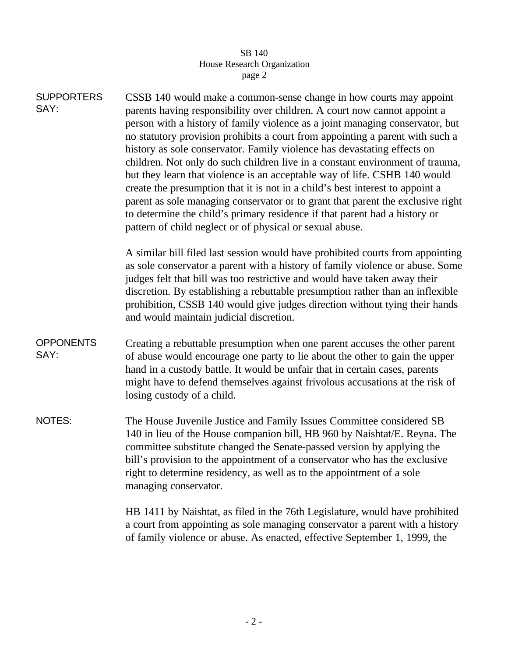## SB 140 House Research Organization page 2

| <b>SUPPORTERS</b><br>SAY: | CSSB 140 would make a common-sense change in how courts may appoint<br>parents having responsibility over children. A court now cannot appoint a<br>person with a history of family violence as a joint managing conservator, but<br>no statutory provision prohibits a court from appointing a parent with such a<br>history as sole conservator. Family violence has devastating effects on<br>children. Not only do such children live in a constant environment of trauma,<br>but they learn that violence is an acceptable way of life. CSHB 140 would<br>create the presumption that it is not in a child's best interest to appoint a<br>parent as sole managing conservator or to grant that parent the exclusive right<br>to determine the child's primary residence if that parent had a history or<br>pattern of child neglect or of physical or sexual abuse. |  |  |
|---------------------------|---------------------------------------------------------------------------------------------------------------------------------------------------------------------------------------------------------------------------------------------------------------------------------------------------------------------------------------------------------------------------------------------------------------------------------------------------------------------------------------------------------------------------------------------------------------------------------------------------------------------------------------------------------------------------------------------------------------------------------------------------------------------------------------------------------------------------------------------------------------------------|--|--|
|                           | A similar bill filed last session would have prohibited courts from appointing<br>as sole conservator a parent with a history of family violence or abuse. Some<br>judges felt that bill was too restrictive and would have taken away their<br>discretion. By establishing a rebuttable presumption rather than an inflexible<br>prohibition, CSSB 140 would give judges direction without tying their hands<br>and would maintain judicial discretion.                                                                                                                                                                                                                                                                                                                                                                                                                  |  |  |
| <b>OPPONENTS</b><br>SAY:  | Creating a rebuttable presumption when one parent accuses the other parent<br>of abuse would encourage one party to lie about the other to gain the upper<br>hand in a custody battle. It would be unfair that in certain cases, parents<br>might have to defend themselves against frivolous accusations at the risk of<br>losing custody of a child.                                                                                                                                                                                                                                                                                                                                                                                                                                                                                                                    |  |  |
| NOTES:                    | The House Juvenile Justice and Family Issues Committee considered SB<br>140 in lieu of the House companion bill, HB 960 by Naishtat/E. Reyna. The<br>committee substitute changed the Senate-passed version by applying the<br>bill's provision to the appointment of a conservator who has the exclusive<br>right to determine residency, as well as to the appointment of a sole<br>managing conservator.                                                                                                                                                                                                                                                                                                                                                                                                                                                               |  |  |
|                           | HB 1411 by Naishtat, as filed in the 76th Legislature, would have prohibited<br>a court from appointing as sole managing conservator a parent with a history<br>of family violence or abuse. As enacted, effective September 1, 1999, the                                                                                                                                                                                                                                                                                                                                                                                                                                                                                                                                                                                                                                 |  |  |